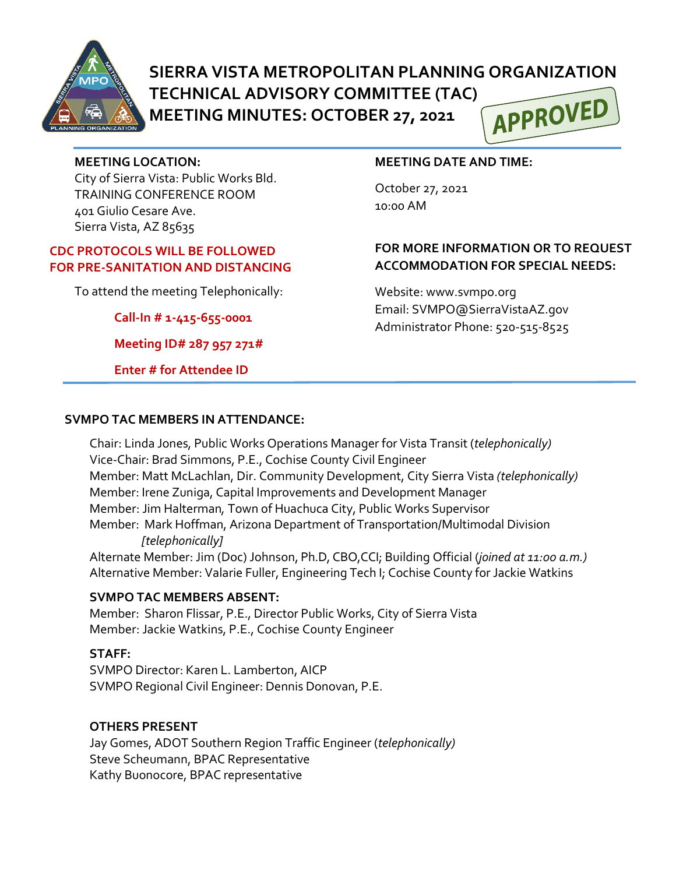

# **SIERRA VISTA METROPOLITAN PLANNING ORGANIZATION**

**TECHNICAL ADVISORY COMMITTEE (TAC) MEETING MINUTES: OCTOBER 27, 2021**



#### **MEETING LOCATION:**

City of Sierra Vista: Public Works Bld. TRAINING CONFERENCE ROOM 401 Giulio Cesare Ave. Sierra Vista, AZ 85635

#### **CDC PROTOCOLS WILL BE FOLLOWED FOR PRE-SANITATION AND DISTANCING**

To attend the meeting Telephonically:

**Call-In # 1-415-655-0001**

**Meeting ID# 287 957 271#**

**Enter # for Attendee ID**

#### **MEETING DATE AND TIME:**

October 27, 2021 10:00 AM

### **FOR MORE INFORMATION OR TO REQUEST ACCOMMODATION FOR SPECIAL NEEDS:**

Website: www.svmpo.org Email: SVMPO@SierraVistaAZ.gov Administrator Phone: 520-515-8525

#### **SVMPO TAC MEMBERS IN ATTENDANCE:**

Chair: Linda Jones, Public Works Operations Manager for Vista Transit (*telephonically)* Vice-Chair: Brad Simmons, P.E., Cochise County Civil Engineer Member: Matt McLachlan, Dir. Community Development, City Sierra Vista *(telephonically)* Member: Irene Zuniga, Capital Improvements and Development Manager Member: Jim Halterman*,* Town of Huachuca City, Public Works Supervisor Member: Mark Hoffman, Arizona Department of Transportation/Multimodal Division  *[telephonically]*

Alternate Member: Jim (Doc) Johnson, Ph.D, CBO,CCI; Building Official (*joined at 11:00 a.m.)* Alternative Member: Valarie Fuller, Engineering Tech I; Cochise County for Jackie Watkins

#### **SVMPO TAC MEMBERS ABSENT:**

Member: Sharon Flissar, P.E., Director Public Works, City of Sierra Vista Member: Jackie Watkins, P.E., Cochise County Engineer

#### **STAFF:**

SVMPO Director: Karen L. Lamberton, AICP SVMPO Regional Civil Engineer: Dennis Donovan, P.E.

#### **OTHERS PRESENT**

Jay Gomes, ADOT Southern Region Traffic Engineer (*telephonically)* Steve Scheumann, BPAC Representative Kathy Buonocore, BPAC representative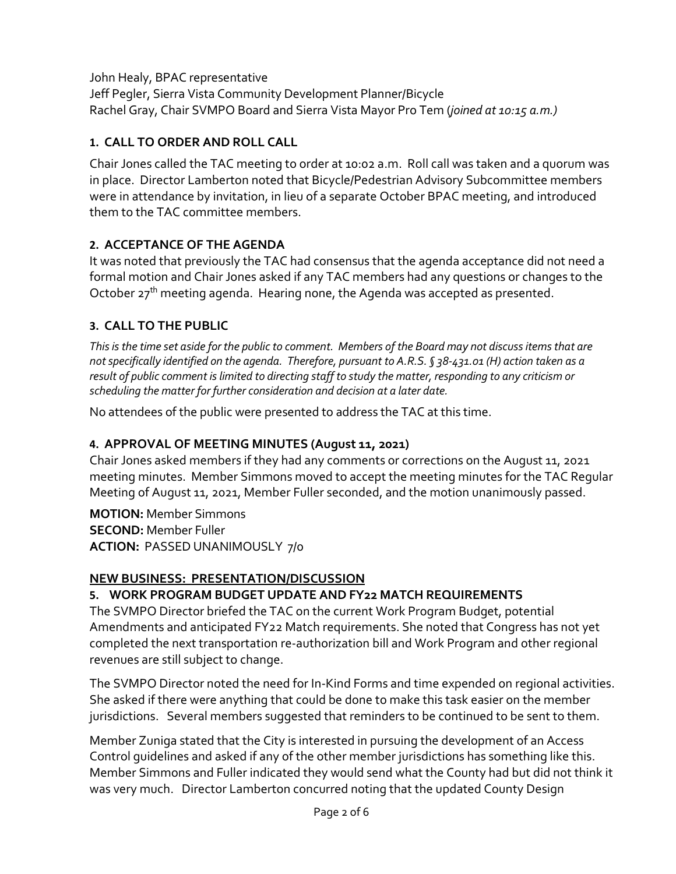John Healy, BPAC representative Jeff Pegler, Sierra Vista Community Development Planner/Bicycle Rachel Gray, Chair SVMPO Board and Sierra Vista Mayor Pro Tem (*joined at 10:15 a.m.)* 

### **1. CALL TO ORDER AND ROLL CALL**

Chair Jones called the TAC meeting to order at 10:02 a.m. Roll call was taken and a quorum was in place. Director Lamberton noted that Bicycle/Pedestrian Advisory Subcommittee members were in attendance by invitation, in lieu of a separate October BPAC meeting, and introduced them to the TAC committee members.

### **2. ACCEPTANCE OF THE AGENDA**

It was noted that previously the TAC had consensus that the agenda acceptance did not need a formal motion and Chair Jones asked if any TAC members had any questions or changes to the October  $27<sup>th</sup>$  meeting agenda. Hearing none, the Agenda was accepted as presented.

### **3. CALL TO THE PUBLIC**

*This is the time set aside for the public to comment. Members of the Board may not discuss items that are not specifically identified on the agenda. Therefore, pursuant to A.R.S. § 38-431.01 (H) action taken as a result of public comment is limited to directing staff to study the matter, responding to any criticism or scheduling the matter for further consideration and decision at a later date.*

No attendees of the public were presented to address the TAC at this time.

### **4. APPROVAL OF MEETING MINUTES (August 11, 2021)**

Chair Jones asked members if they had any comments or corrections on the August 11, 2021 meeting minutes. Member Simmons moved to accept the meeting minutes for the TAC Regular Meeting of August 11, 2021, Member Fuller seconded, and the motion unanimously passed.

**MOTION:** Member Simmons **SECOND:** Member Fuller **ACTION:** PASSED UNANIMOUSLY 7/0

### **NEW BUSINESS: PRESENTATION/DISCUSSION**

### **5. WORK PROGRAM BUDGET UPDATE AND FY22 MATCH REQUIREMENTS**

The SVMPO Director briefed the TAC on the current Work Program Budget, potential Amendments and anticipated FY22 Match requirements. She noted that Congress has not yet completed the next transportation re-authorization bill and Work Program and other regional revenues are still subject to change.

The SVMPO Director noted the need for In-Kind Forms and time expended on regional activities. She asked if there were anything that could be done to make this task easier on the member jurisdictions. Several members suggested that reminders to be continued to be sent to them.

Member Zuniga stated that the City is interested in pursuing the development of an Access Control guidelines and asked if any of the other member jurisdictions has something like this. Member Simmons and Fuller indicated they would send what the County had but did not think it was very much. Director Lamberton concurred noting that the updated County Design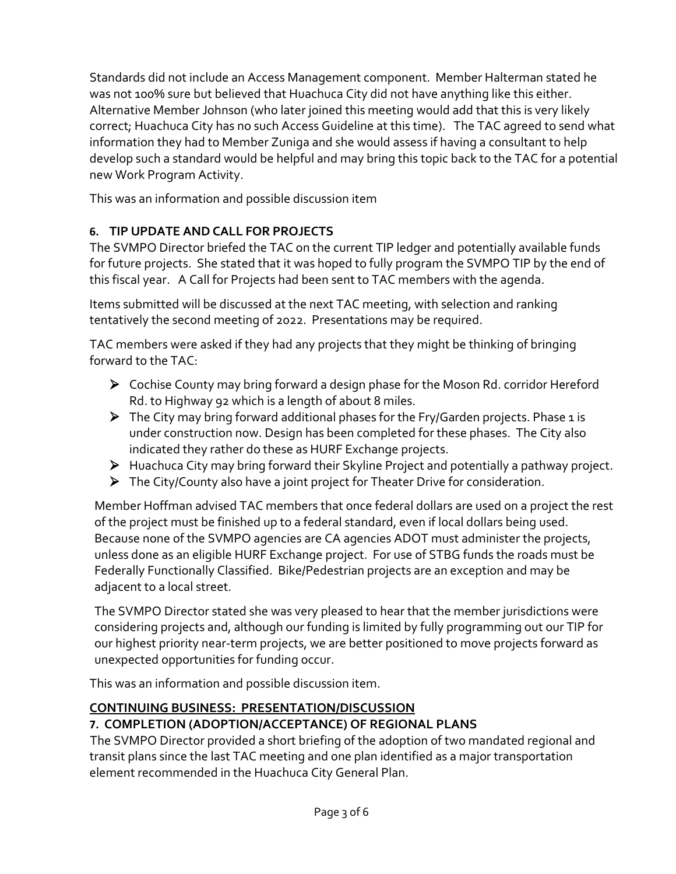Standards did not include an Access Management component. Member Halterman stated he was not 100% sure but believed that Huachuca City did not have anything like this either. Alternative Member Johnson (who later joined this meeting would add that this is very likely correct; Huachuca City has no such Access Guideline at this time). The TAC agreed to send what information they had to Member Zuniga and she would assess if having a consultant to help develop such a standard would be helpful and may bring this topic back to the TAC for a potential new Work Program Activity.

This was an information and possible discussion item

### **6. TIP UPDATE AND CALL FOR PROJECTS**

The SVMPO Director briefed the TAC on the current TIP ledger and potentially available funds for future projects. She stated that it was hoped to fully program the SVMPO TIP by the end of this fiscal year. A Call for Projects had been sent to TAC members with the agenda.

Items submitted will be discussed at the next TAC meeting, with selection and ranking tentatively the second meeting of 2022. Presentations may be required.

TAC members were asked if they had any projects that they might be thinking of bringing forward to the TAC:

- Cochise County may bring forward a design phase for the Moson Rd. corridor Hereford Rd. to Highway 92 which is a length of about 8 miles.
- $\triangleright$  The City may bring forward additional phases for the Fry/Garden projects. Phase 1 is under construction now. Design has been completed for these phases. The City also indicated they rather do these as HURF Exchange projects.
- Huachuca City may bring forward their Skyline Project and potentially a pathway project.
- $\triangleright$  The City/County also have a joint project for Theater Drive for consideration.

Member Hoffman advised TAC members that once federal dollars are used on a project the rest of the project must be finished up to a federal standard, even if local dollars being used. Because none of the SVMPO agencies are CA agencies ADOT must administer the projects, unless done as an eligible HURF Exchange project. For use of STBG funds the roads must be Federally Functionally Classified. Bike/Pedestrian projects are an exception and may be adjacent to a local street.

The SVMPO Director stated she was very pleased to hear that the member jurisdictions were considering projects and, although our funding is limited by fully programming out our TIP for our highest priority near-term projects, we are better positioned to move projects forward as unexpected opportunities for funding occur.

This was an information and possible discussion item.

## **CONTINUING BUSINESS: PRESENTATION/DISCUSSION**

### **7. COMPLETION (ADOPTION/ACCEPTANCE) OF REGIONAL PLANS**

The SVMPO Director provided a short briefing of the adoption of two mandated regional and transit plans since the last TAC meeting and one plan identified as a major transportation element recommended in the Huachuca City General Plan.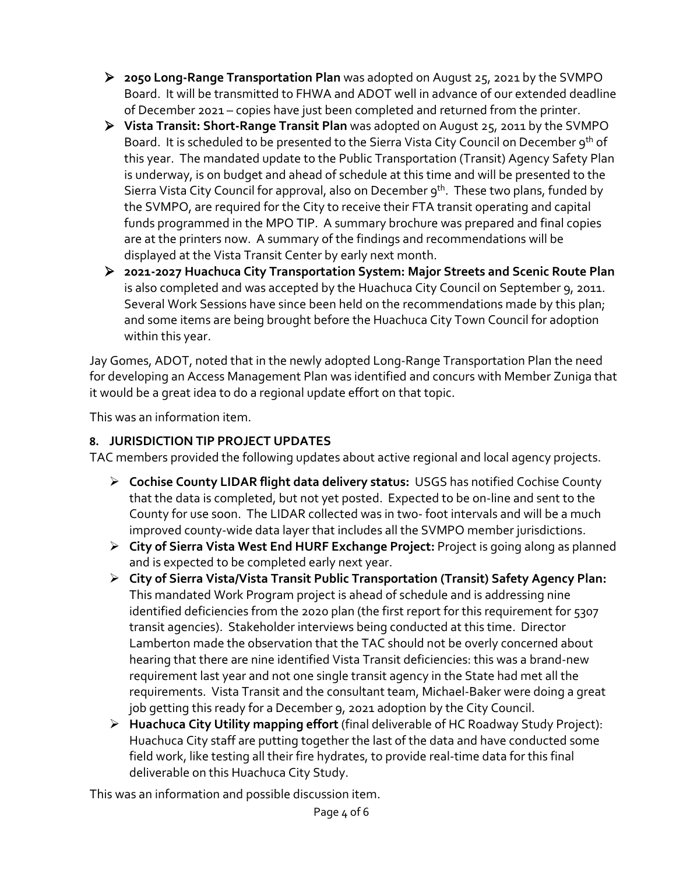- **2050 Long-Range Transportation Plan** was adopted on August 25, 2021 by the SVMPO Board. It will be transmitted to FHWA and ADOT well in advance of our extended deadline of December 2021 – copies have just been completed and returned from the printer.
- **Vista Transit: Short-Range Transit Plan** was adopted on August 25, 2011 by the SVMPO Board. It is scheduled to be presented to the Sierra Vista City Council on December 9<sup>th</sup> of this year. The mandated update to the Public Transportation (Transit) Agency Safety Plan is underway, is on budget and ahead of schedule at this time and will be presented to the Sierra Vista City Council for approval, also on December 9<sup>th</sup>. These two plans, funded by the SVMPO, are required for the City to receive their FTA transit operating and capital funds programmed in the MPO TIP. A summary brochure was prepared and final copies are at the printers now. A summary of the findings and recommendations will be displayed at the Vista Transit Center by early next month.
- **2021-2027 Huachuca City Transportation System: Major Streets and Scenic Route Plan** is also completed and was accepted by the Huachuca City Council on September 9, 2011. Several Work Sessions have since been held on the recommendations made by this plan; and some items are being brought before the Huachuca City Town Council for adoption within this year.

Jay Gomes, ADOT, noted that in the newly adopted Long-Range Transportation Plan the need for developing an Access Management Plan was identified and concurs with Member Zuniga that it would be a great idea to do a regional update effort on that topic.

This was an information item.

### **8. JURISDICTION TIP PROJECT UPDATES**

TAC members provided the following updates about active regional and local agency projects.

- **Cochise County LIDAR flight data delivery status:** USGS has notified Cochise County that the data is completed, but not yet posted. Expected to be on-line and sent to the County for use soon. The LIDAR collected was in two- foot intervals and will be a much improved county-wide data layer that includes all the SVMPO member jurisdictions.
- **City of Sierra Vista West End HURF Exchange Project:** Project is going along as planned and is expected to be completed early next year.
- **City of Sierra Vista/Vista Transit Public Transportation (Transit) Safety Agency Plan:** This mandated Work Program project is ahead of schedule and is addressing nine identified deficiencies from the 2020 plan (the first report for this requirement for 5307 transit agencies). Stakeholder interviews being conducted at this time. Director Lamberton made the observation that the TAC should not be overly concerned about hearing that there are nine identified Vista Transit deficiencies: this was a brand-new requirement last year and not one single transit agency in the State had met all the requirements. Vista Transit and the consultant team, Michael-Baker were doing a great job getting this ready for a December 9, 2021 adoption by the City Council.
- **Huachuca City Utility mapping effort** (final deliverable of HC Roadway Study Project): Huachuca City staff are putting together the last of the data and have conducted some field work, like testing all their fire hydrates, to provide real-time data for this final deliverable on this Huachuca City Study.

This was an information and possible discussion item.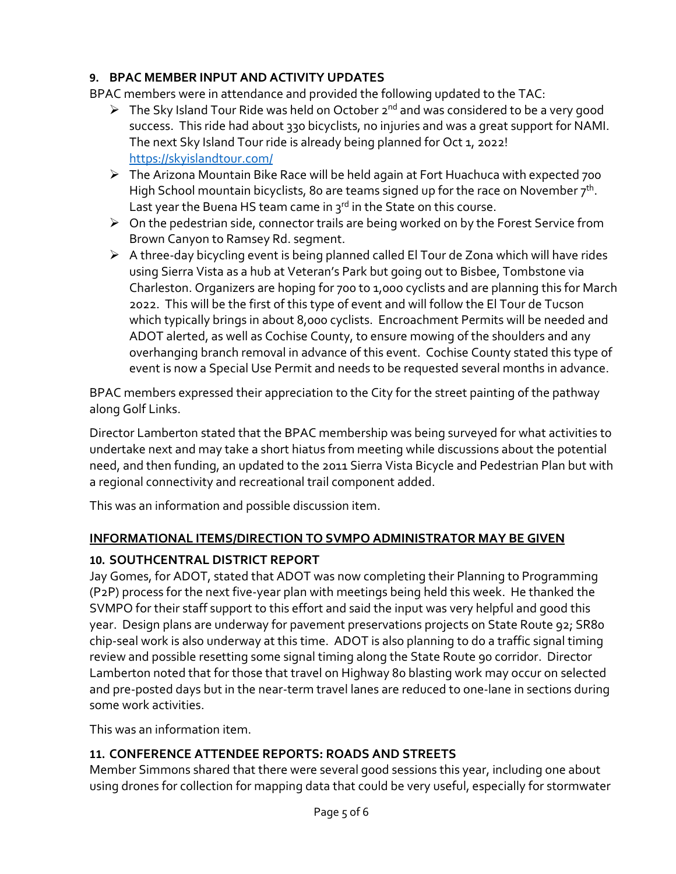### **9. BPAC MEMBER INPUT AND ACTIVITY UPDATES**

BPAC members were in attendance and provided the following updated to the TAC:

- $\triangleright$  The Sky Island Tour Ride was held on October 2<sup>nd</sup> and was considered to be a very good success. This ride had about 330 bicyclists, no injuries and was a great support for NAMI. The next Sky Island Tour ride is already being planned for Oct 1, 2022! <https://skyislandtour.com/>
- The Arizona Mountain Bike Race will be held again at Fort Huachuca with expected 700 High School mountain bicyclists, 80 are teams signed up for the race on November  $7<sup>th</sup>$ . Last year the Buena HS team came in  $3^{rd}$  in the State on this course.
- $\triangleright$  On the pedestrian side, connector trails are being worked on by the Forest Service from Brown Canyon to Ramsey Rd. segment.
- $\triangleright$  A three-day bicycling event is being planned called El Tour de Zona which will have rides using Sierra Vista as a hub at Veteran's Park but going out to Bisbee, Tombstone via Charleston. Organizers are hoping for 700 to 1,00o cyclists and are planning this for March 2022. This will be the first of this type of event and will follow the El Tour de Tucson which typically brings in about 8,000 cyclists. Encroachment Permits will be needed and ADOT alerted, as well as Cochise County, to ensure mowing of the shoulders and any overhanging branch removal in advance of this event. Cochise County stated this type of event is now a Special Use Permit and needs to be requested several months in advance.

BPAC members expressed their appreciation to the City for the street painting of the pathway along Golf Links.

Director Lamberton stated that the BPAC membership was being surveyed for what activities to undertake next and may take a short hiatus from meeting while discussions about the potential need, and then funding, an updated to the 2011 Sierra Vista Bicycle and Pedestrian Plan but with a regional connectivity and recreational trail component added.

This was an information and possible discussion item.

#### **INFORMATIONAL ITEMS/DIRECTION TO SVMPO ADMINISTRATOR MAY BE GIVEN**

### **10. SOUTHCENTRAL DISTRICT REPORT**

Jay Gomes, for ADOT, stated that ADOT was now completing their Planning to Programming (P2P) process for the next five-year plan with meetings being held this week. He thanked the SVMPO for their staff support to this effort and said the input was very helpful and good this year. Design plans are underway for pavement preservations projects on State Route 92; SR80 chip-seal work is also underway at this time. ADOT is also planning to do a traffic signal timing review and possible resetting some signal timing along the State Route 90 corridor. Director Lamberton noted that for those that travel on Highway 80 blasting work may occur on selected and pre-posted days but in the near-term travel lanes are reduced to one-lane in sections during some work activities.

This was an information item.

### **11. CONFERENCE ATTENDEE REPORTS: ROADS AND STREETS**

Member Simmons shared that there were several good sessions this year, including one about using drones for collection for mapping data that could be very useful, especially for stormwater